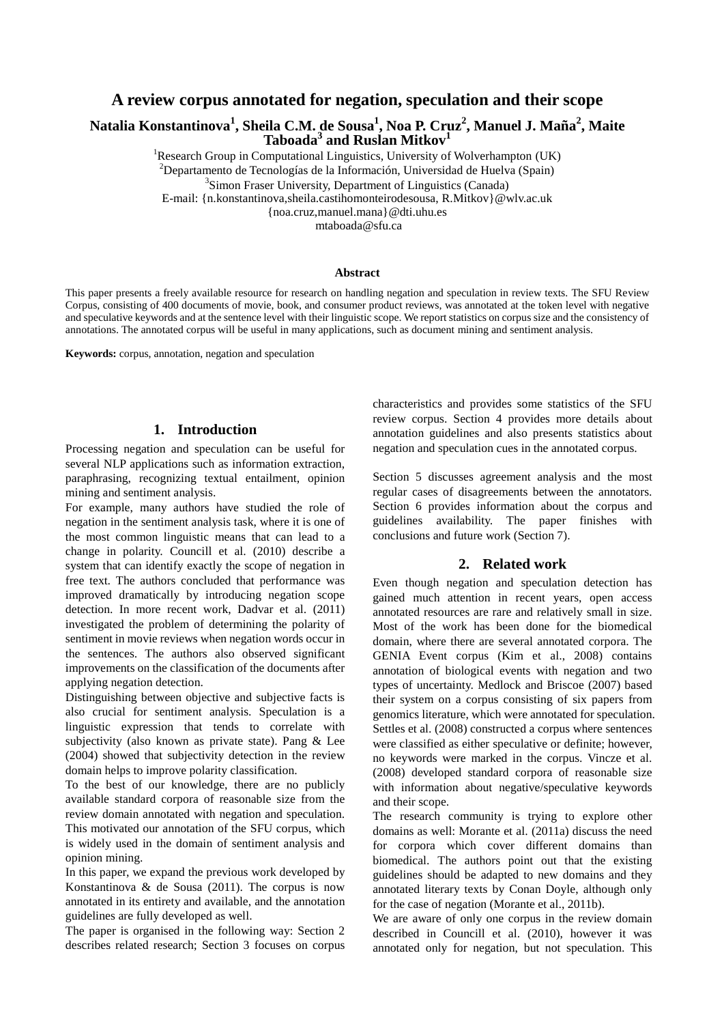## **A review corpus annotated for negation, speculation and their scope**

**Natalia Konstantinova<sup>1</sup> , Sheila C.M. de Sousa<sup>1</sup> , Noa P. Cruz<sup>2</sup> , Manuel J. Maña<sup>2</sup> , Maite Taboada<sup>3</sup> and Ruslan Mitkov<sup>1</sup>**

<sup>1</sup>Research Group in Computational Linguistics, University of Wolverhampton (UK)

<sup>2</sup>Departamento de Tecnologías de la Información, Universidad de Huelva (Spain)

<sup>3</sup>Simon Fraser University, Department of Linguistics (Canada)

E-mail: {n.konstantinova,sheila.castihomonteirodesousa, R.Mitkov}@wlv.ac.uk

{noa.cruz,manuel.mana}@dti.uhu.es

mtaboada@sfu.ca

#### **Abstract**

This paper presents a freely available resource for research on handling negation and speculation in review texts. The SFU Review Corpus, consisting of 400 documents of movie, book, and consumer product reviews, was annotated at the token level with negative and speculative keywords and at the sentence level with their linguistic scope. We report statistics on corpus size and the consistency of annotations. The annotated corpus will be useful in many applications, such as document mining and sentiment analysis.

**Keywords:** corpus, annotation, negation and speculation

### **1. Introduction**

Processing negation and speculation can be useful for several NLP applications such as information extraction, paraphrasing, recognizing textual entailment, opinion mining and sentiment analysis.

For example, many authors have studied the role of negation in the sentiment analysis task, where it is one of the most common linguistic means that can lead to a change in polarity. Councill et al. (2010) describe a system that can identify exactly the scope of negation in free text. The authors concluded that performance was improved dramatically by introducing negation scope detection. In more recent work, Dadvar et al. (2011) investigated the problem of determining the polarity of sentiment in movie reviews when negation words occur in the sentences. The authors also observed significant improvements on the classification of the documents after applying negation detection.

Distinguishing between objective and subjective facts is also crucial for sentiment analysis. Speculation is a linguistic expression that tends to correlate with subjectivity (also known as private state). Pang & Lee (2004) showed that subjectivity detection in the review domain helps to improve polarity classification.

To the best of our knowledge, there are no publicly available standard corpora of reasonable size from the review domain annotated with negation and speculation. This motivated our annotation of the SFU corpus, which is widely used in the domain of sentiment analysis and opinion mining.

In this paper, we expand the previous work developed by Konstantinova & de Sousa (2011). The corpus is now annotated in its entirety and available, and the annotation guidelines are fully developed as well.

The paper is organised in the following way: Section 2 describes related research; Section 3 focuses on corpus characteristics and provides some statistics of the SFU review corpus. Section 4 provides more details about annotation guidelines and also presents statistics about negation and speculation cues in the annotated corpus.

Section 5 discusses agreement analysis and the most regular cases of disagreements between the annotators. Section 6 provides information about the corpus and guidelines availability. The paper finishes with conclusions and future work (Section 7).

## **2. Related work**

Even though negation and speculation detection has gained much attention in recent years, open access annotated resources are rare and relatively small in size. Most of the work has been done for the biomedical domain, where there are several annotated corpora. The GENIA Event corpus (Kim et al., 2008) contains annotation of biological events with negation and two types of uncertainty. Medlock and Briscoe (2007) based their system on a corpus consisting of six papers from genomics literature, which were annotated for speculation. Settles et al. (2008) constructed a corpus where sentences were classified as either speculative or definite; however, no keywords were marked in the corpus. Vincze et al. (2008) developed standard corpora of reasonable size with information about negative/speculative keywords and their scope.

The research community is trying to explore other domains as well: Morante et al. (2011a) discuss the need for corpora which cover different domains than biomedical. The authors point out that the existing guidelines should be adapted to new domains and they annotated literary texts by Conan Doyle, although only for the case of negation (Morante et al., 2011b).

We are aware of only one corpus in the review domain described in Councill et al. (2010), however it was annotated only for negation, but not speculation. This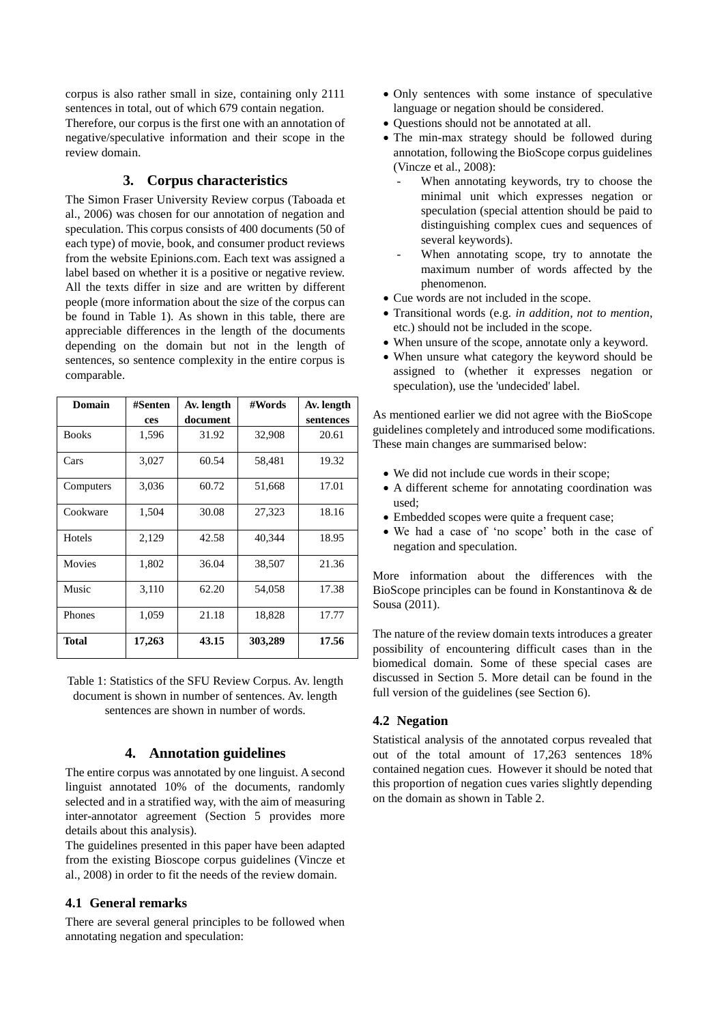corpus is also rather small in size, containing only 2111 sentences in total, out of which 679 contain negation.

Therefore, our corpus is the first one with an annotation of negative/speculative information and their scope in the review domain.

# **3. Corpus characteristics**

The Simon Fraser University Review corpus (Taboada et al., 2006) was chosen for our annotation of negation and speculation. This corpus consists of 400 documents (50 of each type) of movie, book, and consumer product reviews from the website Epinions.com. Each text was assigned a label based on whether it is a positive or negative review. All the texts differ in size and are written by different people (more information about the size of the corpus can be found in Table 1). As shown in this table, there are appreciable differences in the length of the documents depending on the domain but not in the length of sentences, so sentence complexity in the entire corpus is comparable.

| Domain       | #Senten | Av. length | #Words  | Av. length |
|--------------|---------|------------|---------|------------|
|              | ces     | document   |         | sentences  |
| <b>Books</b> | 1,596   | 31.92      | 32,908  | 20.61      |
| Cars         | 3,027   | 60.54      | 58,481  | 19.32      |
| Computers    | 3,036   | 60.72      | 51,668  | 17.01      |
| Cookware     | 1,504   | 30.08      | 27,323  | 18.16      |
| Hotels       | 2,129   | 42.58      | 40,344  | 18.95      |
| Movies       | 1,802   | 36.04      | 38,507  | 21.36      |
| Music        | 3,110   | 62.20      | 54,058  | 17.38      |
| Phones       | 1,059   | 21.18      | 18,828  | 17.77      |
| <b>Total</b> | 17,263  | 43.15      | 303,289 | 17.56      |

Table 1: Statistics of the SFU Review Corpus. Av. length document is shown in number of sentences. Av. length sentences are shown in number of words.

## **4. Annotation guidelines**

The entire corpus was annotated by one linguist. A second linguist annotated 10% of the documents, randomly selected and in a stratified way, with the aim of measuring inter-annotator agreement (Section 5 provides more details about this analysis).

The guidelines presented in this paper have been adapted from the existing Bioscope corpus guidelines (Vincze et al., 2008) in order to fit the needs of the review domain.

### **4.1 General remarks**

There are several general principles to be followed when annotating negation and speculation:

- Only sentences with some instance of speculative language or negation should be considered.
- Ouestions should not be annotated at all.
- The min-max strategy should be followed during annotation, following the BioScope corpus guidelines (Vincze et al., 2008):
	- When annotating keywords, try to choose the minimal unit which expresses negation or speculation (special attention should be paid to distinguishing complex cues and sequences of several keywords).
	- When annotating scope, try to annotate the maximum number of words affected by the phenomenon.
- Cue words are not included in the scope.
- Transitional words (e.g. *in addition*, *not to mention*, etc.) should not be included in the scope.
- When unsure of the scope, annotate only a keyword.
- When unsure what category the keyword should be assigned to (whether it expresses negation or speculation), use the 'undecided' label.

As mentioned earlier we did not agree with the BioScope guidelines completely and introduced some modifications. These main changes are summarised below:

- We did not include cue words in their scope;
- A different scheme for annotating coordination was used;
- Embedded scopes were quite a frequent case;
- We had a case of 'no scope' both in the case of negation and speculation.

More information about the differences with the BioScope principles can be found in Konstantinova & de Sousa (2011).

The nature of the review domain texts introduces a greater possibility of encountering difficult cases than in the biomedical domain. Some of these special cases are discussed in Section 5. More detail can be found in the full version of the guidelines (see Section 6).

## **4.2 Negation**

Statistical analysis of the annotated corpus revealed that out of the total amount of 17,263 sentences 18% contained negation cues. However it should be noted that this proportion of negation cues varies slightly depending on the domain as shown in Table 2.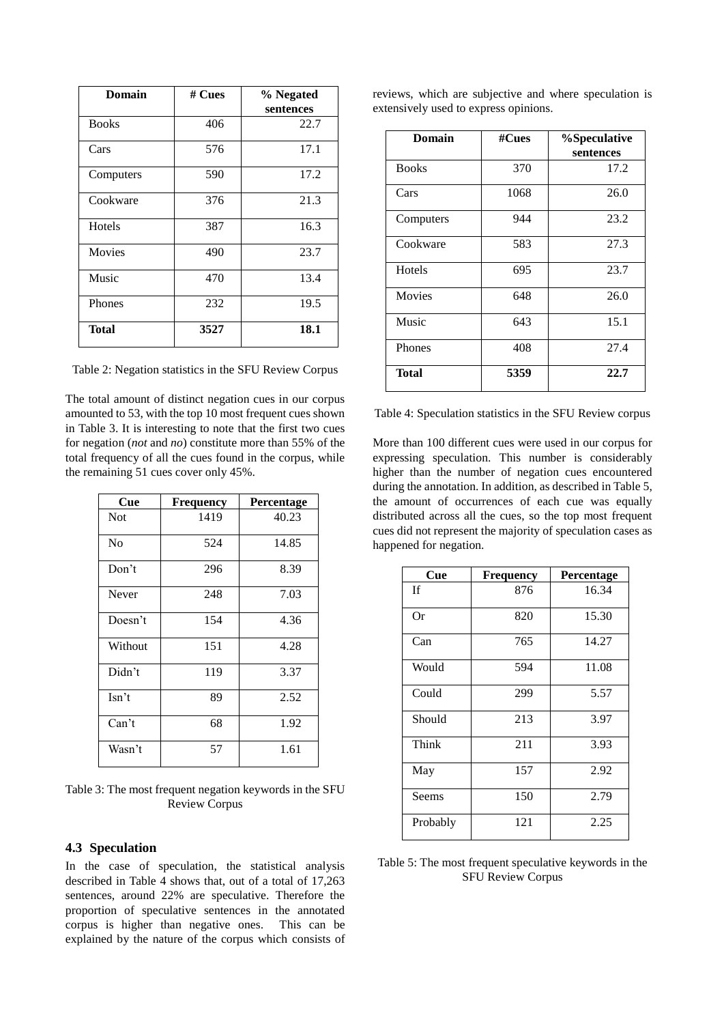| Domain        | # Cues | % Negated<br>sentences |
|---------------|--------|------------------------|
| <b>Books</b>  | 406    | 22.7                   |
| Cars          | 576    | 17.1                   |
| Computers     | 590    | 17.2                   |
| Cookware      | 376    | 21.3                   |
| Hotels        | 387    | 16.3                   |
| <b>Movies</b> | 490    | 23.7                   |
| Music         | 470    | 13.4                   |
| Phones        | 232    | 19.5                   |
| <b>Total</b>  | 3527   | 18.1                   |

Table 2: Negation statistics in the SFU Review Corpus

The total amount of distinct negation cues in our corpus amounted to 53, with the top 10 most frequent cues shown in Table 3. It is interesting to note that the first two cues for negation (*not* and *no*) constitute more than 55% of the total frequency of all the cues found in the corpus, while the remaining 51 cues cover only 45%.

| Cue            | <b>Frequency</b> | <b>Percentage</b> |
|----------------|------------------|-------------------|
| <b>Not</b>     | 1419             | 40.23             |
| N <sub>0</sub> | 524              | 14.85             |
| Don't          | 296              | 8.39              |
| Never          | 248              | 7.03              |
| Doesn't        | 154              | 4.36              |
| Without        | 151              | 4.28              |
| Didn't         | 119              | 3.37              |
| $\text{Isn't}$ | 89               | 2.52              |
| Can't          | 68               | 1.92              |
| Wasn't         | 57               | 1.61              |

Table 3: The most frequent negation keywords in the SFU Review Corpus

#### **4.3 Speculation**

In the case of speculation, the statistical analysis described in Table 4 shows that, out of a total of 17,263 sentences, around 22% are speculative. Therefore the proportion of speculative sentences in the annotated corpus is higher than negative ones. This can be explained by the nature of the corpus which consists of

|  |                                       |  | reviews, which are subjective and where speculation is |  |
|--|---------------------------------------|--|--------------------------------------------------------|--|
|  | extensively used to express opinions. |  |                                                        |  |

| <b>Domain</b> | #Cues | %Speculative |
|---------------|-------|--------------|
|               |       | sentences    |
| <b>Books</b>  | 370   | 17.2         |
| Cars          | 1068  | 26.0         |
| Computers     | 944   | 23.2         |
| Cookware      | 583   | 27.3         |
| Hotels        | 695   | 23.7         |
| <b>Movies</b> | 648   | 26.0         |
| Music         | 643   | 15.1         |
| Phones        | 408   | 27.4         |
| Total         | 5359  | 22.7         |

Table 4: Speculation statistics in the SFU Review corpus

More than 100 different cues were used in our corpus for expressing speculation. This number is considerably higher than the number of negation cues encountered during the annotation. In addition, as described in Table 5, the amount of occurrences of each cue was equally distributed across all the cues, so the top most frequent cues did not represent the majority of speculation cases as happened for negation.

| Cue       | Frequency | Percentage |
|-----------|-----------|------------|
| <b>If</b> | 876       | 16.34      |
| Or        | 820       | 15.30      |
| Can       | 765       | 14.27      |
| Would     | 594       | 11.08      |
| Could     | 299       | 5.57       |
| Should    | 213       | 3.97       |
| Think     | 211       | 3.93       |
| May       | 157       | 2.92       |
| Seems     | 150       | 2.79       |
| Probably  | 121       | 2.25       |

Table 5: The most frequent speculative keywords in the SFU Review Corpus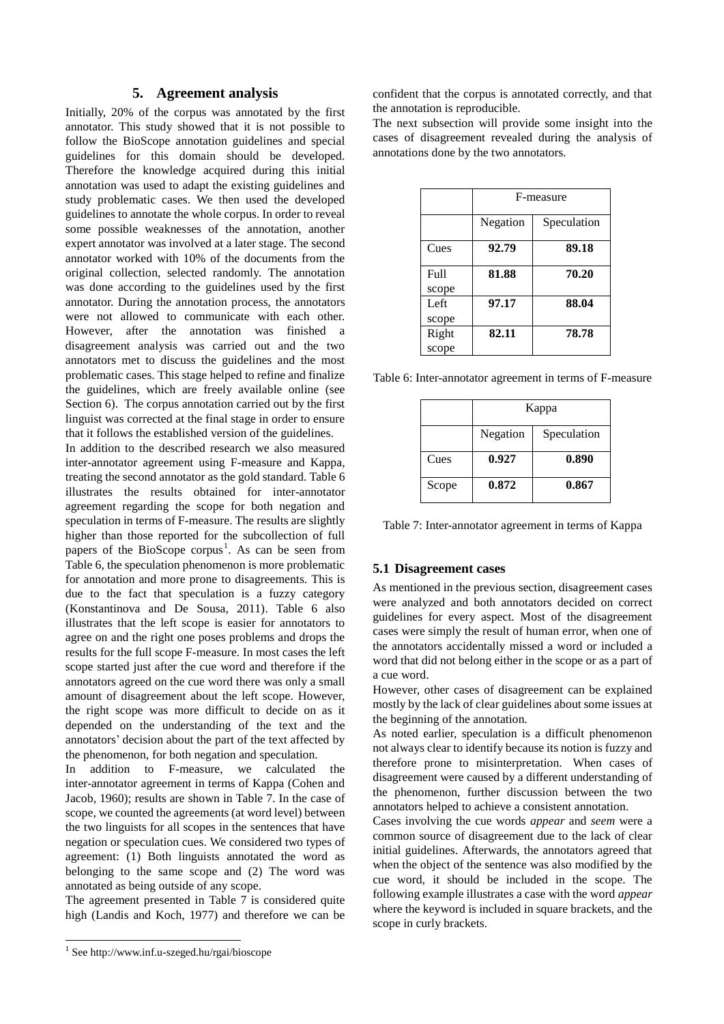### **5. Agreement analysis**

Initially, 20% of the corpus was annotated by the first annotator. This study showed that it is not possible to follow the BioScope annotation guidelines and special guidelines for this domain should be developed. Therefore the knowledge acquired during this initial annotation was used to adapt the existing guidelines and study problematic cases. We then used the developed guidelines to annotate the whole corpus. In order to reveal some possible weaknesses of the annotation, another expert annotator was involved at a later stage. The second annotator worked with 10% of the documents from the original collection, selected randomly. The annotation was done according to the guidelines used by the first annotator. During the annotation process, the annotators were not allowed to communicate with each other. However, after the annotation was finished a disagreement analysis was carried out and the two annotators met to discuss the guidelines and the most problematic cases. This stage helped to refine and finalize the guidelines, which are freely available online (see Section 6). The corpus annotation carried out by the first linguist was corrected at the final stage in order to ensure that it follows the established version of the guidelines.

In addition to the described research we also measured inter-annotator agreement using F-measure and Kappa, treating the second annotator as the gold standard. Table 6 illustrates the results obtained for inter-annotator agreement regarding the scope for both negation and speculation in terms of F-measure. The results are slightly higher than those reported for the subcollection of full papers of the BioScope corpus<sup>1</sup>. As can be seen from Table 6, the speculation phenomenon is more problematic for annotation and more prone to disagreements. This is due to the fact that speculation is a fuzzy category (Konstantinova and De Sousa, 2011). Table 6 also illustrates that the left scope is easier for annotators to agree on and the right one poses problems and drops the results for the full scope F-measure. In most cases the left scope started just after the cue word and therefore if the annotators agreed on the cue word there was only a small amount of disagreement about the left scope. However, the right scope was more difficult to decide on as it depended on the understanding of the text and the annotators' decision about the part of the text affected by the phenomenon, for both negation and speculation.

In addition to F-measure, we calculated the inter-annotator agreement in terms of Kappa (Cohen and Jacob, 1960); results are shown in Table 7. In the case of scope, we counted the agreements (at word level) between the two linguists for all scopes in the sentences that have negation or speculation cues. We considered two types of agreement: (1) Both linguists annotated the word as belonging to the same scope and (2) The word was annotated as being outside of any scope.

The agreement presented in Table 7 is considered quite high (Landis and Koch, 1977) and therefore we can be

l

confident that the corpus is annotated correctly, and that the annotation is reproducible.

The next subsection will provide some insight into the cases of disagreement revealed during the analysis of annotations done by the two annotators.

|       | F-measure |             |  |
|-------|-----------|-------------|--|
|       | Negation  | Speculation |  |
| Cues  | 92.79     | 89.18       |  |
| Full  | 81.88     | 70.20       |  |
| scope |           |             |  |
| Left  | 97.17     | 88.04       |  |
| scope |           |             |  |
| Right | 82.11     | 78.78       |  |
| scope |           |             |  |

Table 6: Inter-annotator agreement in terms of F-measure

|       | Kappa    |             |  |
|-------|----------|-------------|--|
|       | Negation | Speculation |  |
| Cues  | 0.927    | 0.890       |  |
| Scope | 0.872    | 0.867       |  |

Table 7: Inter-annotator agreement in terms of Kappa

#### **5.1 Disagreement cases**

As mentioned in the previous section, disagreement cases were analyzed and both annotators decided on correct guidelines for every aspect. Most of the disagreement cases were simply the result of human error, when one of the annotators accidentally missed a word or included a word that did not belong either in the scope or as a part of a cue word.

However, other cases of disagreement can be explained mostly by the lack of clear guidelines about some issues at the beginning of the annotation.

As noted earlier, speculation is a difficult phenomenon not always clear to identify because its notion is fuzzy and therefore prone to misinterpretation. When cases of disagreement were caused by a different understanding of the phenomenon, further discussion between the two annotators helped to achieve a consistent annotation.

Cases involving the cue words *appear* and *seem* were a common source of disagreement due to the lack of clear initial guidelines. Afterwards, the annotators agreed that when the object of the sentence was also modified by the cue word, it should be included in the scope. The following example illustrates a case with the word *appear* where the keyword is included in square brackets, and the scope in curly brackets.

<sup>1</sup> See http://www.inf.u-szeged.hu/rgai/bioscope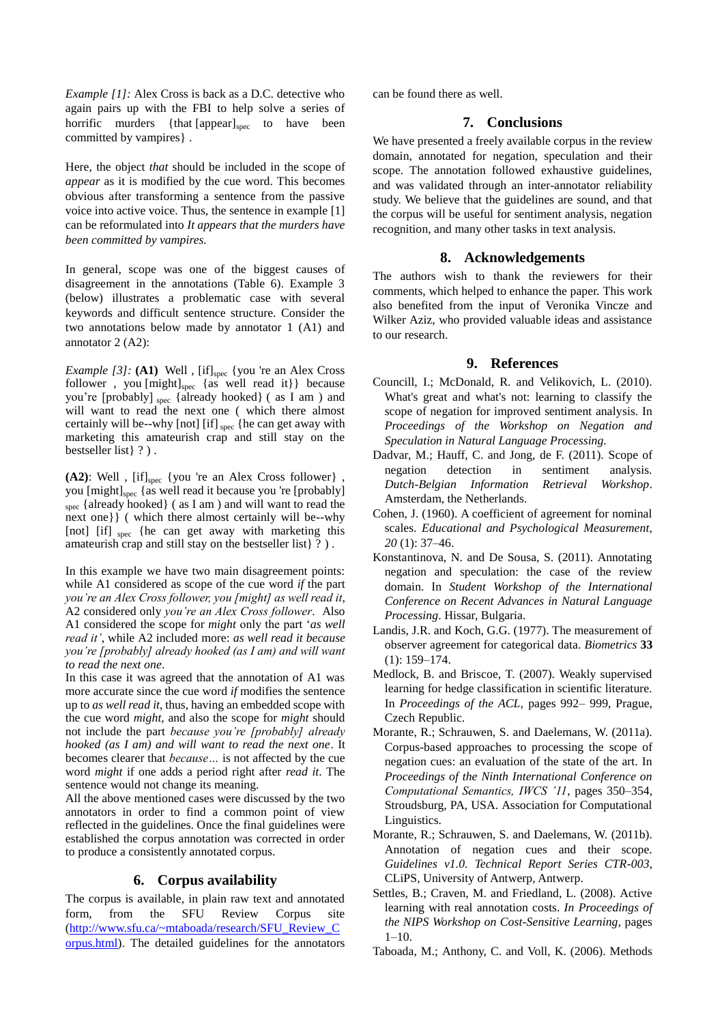*Example [1]:* Alex Cross is back as a D.C. detective who again pairs up with the FBI to help solve a series of horrific murders {that [appear]<sub>spec</sub> to have been committed by vampires} .

Here, the object *that* should be included in the scope of *appear* as it is modified by the cue word. This becomes obvious after transforming a sentence from the passive voice into active voice. Thus, the sentence in example [1] can be reformulated into *It appears that the murders have been committed by vampires.* 

In general, scope was one of the biggest causes of disagreement in the annotations (Table 6). Example 3 (below) illustrates a problematic case with several keywords and difficult sentence structure. Consider the two annotations below made by annotator 1 (A1) and annotator 2 (A2):

*Example* [3]: (A1) Well, [if]<sub>spec</sub> {you 're an Alex Cross follower, you [might]<sub>spec</sub> {as well read it}} because you're [probably] spec {already hooked} ( as I am ) and will want to read the next one ( which there almost certainly will be--why [not] [if] spec {he can get away with marketing this amateurish crap and still stay on the bestseller list} ? ) .

**(A2)**: Well , [if]spec {you 're an Alex Cross follower} , you [might]<sub>spec</sub> {as well read it because you 're [probably] spec {already hooked} ( as I am ) and will want to read the next one}} ( which there almost certainly will be--why [not] [if] spec {he can get away with marketing this amateurish crap and still stay on the bestseller list} ? ) .

In this example we have two main disagreement points: while A1 considered as scope of the cue word *if* the part *you're an Alex Cross follower, you [might] as well read it*, A2 considered only *you're an Alex Cross follower*. Also A1 considered the scope for *might* only the part '*as well read it'*, while A2 included more: *as well read it because you're [probably] already hooked (as I am) and will want to read the next one*.

In this case it was agreed that the annotation of A1 was more accurate since the cue word *if* modifies the sentence up to *as well read it*, thus, having an embedded scope with the cue word *might*, and also the scope for *might* should not include the part *because you're [probably] already hooked (as I am) and will want to read the next one*. It becomes clearer that *because…* is not affected by the cue word *might* if one adds a period right after *read it*. The sentence would not change its meaning.

All the above mentioned cases were discussed by the two annotators in order to find a common point of view reflected in the guidelines. Once the final guidelines were established the corpus annotation was corrected in order to produce a consistently annotated corpus.

### **6. Corpus availability**

The corpus is available, in plain raw text and annotated form, from the SFU Review Corpus site [\(http://www.sfu.ca/~mtaboada/research/SFU\\_Review\\_C](http://www.sfu.ca/~mtaboada/research/SFU_Review_Corpus.html) [orpus.html\)](http://www.sfu.ca/~mtaboada/research/SFU_Review_Corpus.html). The detailed guidelines for the annotators

can be found there as well.

### **7. Conclusions**

We have presented a freely available corpus in the review domain, annotated for negation, speculation and their scope. The annotation followed exhaustive guidelines, and was validated through an inter-annotator reliability study. We believe that the guidelines are sound, and that the corpus will be useful for sentiment analysis, negation recognition, and many other tasks in text analysis.

### **8. Acknowledgements**

The authors wish to thank the reviewers for their comments, which helped to enhance the paper. This work also benefited from the input of Veronika Vincze and Wilker Aziz, who provided valuable ideas and assistance to our research.

#### **9. References**

- Councill, I.; McDonald, R. and Velikovich, L. (2010). What's great and what's not: learning to classify the scope of negation for improved sentiment analysis. In *Proceedings of the Workshop on Negation and Speculation in Natural Language Processing.*
- Dadvar, M.; Hauff, C. and Jong, de F. (2011). Scope of negation detection in sentiment analysis. *Dutch-Belgian Information Retrieval Workshop*. Amsterdam, the Netherlands.
- Cohen, J. (1960). A coefficient of agreement for nominal scales. *Educational and Psychological Measurement, 20* (1): 37–46.
- Konstantinova, N. and De Sousa, S. (2011). Annotating negation and speculation: the case of the review domain. In *Student Workshop of the International Conference on Recent Advances in Natural Language Processing*. Hissar, Bulgaria.
- Landis, J.R. and Koch, G.G. (1977). The measurement of observer agreement for categorical data. *Biometrics* **33** (1): 159–174.
- Medlock, B. and Briscoe, T. (2007). Weakly supervised learning for hedge classification in scientific literature. In *Proceedings of the ACL*, pages 992– 999, Prague, Czech Republic.
- Morante, R.; Schrauwen, S. and Daelemans, W. (2011a). Corpus-based approaches to processing the scope of negation cues: an evaluation of the state of the art. In *Proceedings of the Ninth International Conference on Computational Semantics, IWCS '11*, pages 350–354, Stroudsburg, PA, USA. Association for Computational Linguistics.
- Morante, R.; Schrauwen, S. and Daelemans, W. (2011b). Annotation of negation cues and their scope. *Guidelines v1.0. Technical Report Series CTR-003*, CLiPS, University of Antwerp, Antwerp.
- Settles, B.; Craven, M. and Friedland, L. (2008). Active learning with real annotation costs. *In Proceedings of the NIPS Workshop on Cost-Sensitive Learning*, pages 1–10.
- Taboada, M.; Anthony, C. and Voll, K. (2006). Methods